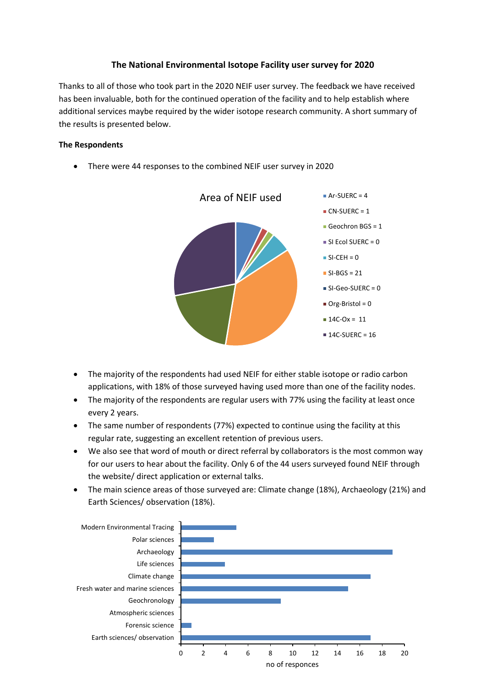## **The National Environmental Isotope Facility user survey for 2020**

Thanks to all of those who took part in the 2020 NEIF user survey. The feedback we have received has been invaluable, both for the continued operation of the facility and to help establish where additional services maybe required by the wider isotope research community. A short summary of the results is presented below.

#### **The Respondents**

• There were 44 responses to the combined NEIF user survey in 2020



- The majority of the respondents had used NEIF for either stable isotope or radio carbon applications, with 18% of those surveyed having used more than one of the facility nodes.
- The majority of the respondents are regular users with 77% using the facility at least once every 2 years.
- The same number of respondents (77%) expected to continue using the facility at this regular rate, suggesting an excellent retention of previous users.
- We also see that word of mouth or direct referral by collaborators is the most common way for our users to hear about the facility. Only 6 of the 44 users surveyed found NEIF through the website/ direct application or external talks.
- The main science areas of those surveyed are: Climate change (18%), Archaeology (21%) and Earth Sciences/ observation (18%).

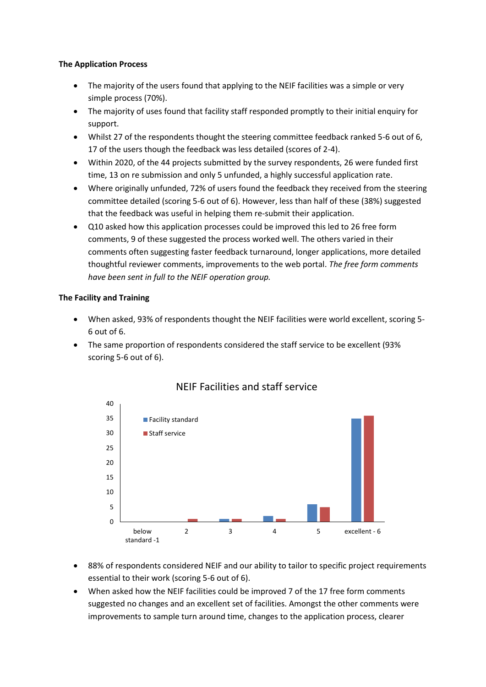#### **The Application Process**

- The majority of the users found that applying to the NEIF facilities was a simple or very simple process (70%).
- The majority of uses found that facility staff responded promptly to their initial enquiry for support.
- Whilst 27 of the respondents thought the steering committee feedback ranked 5-6 out of 6, 17 of the users though the feedback was less detailed (scores of 2-4).
- Within 2020, of the 44 projects submitted by the survey respondents, 26 were funded first time, 13 on re submission and only 5 unfunded, a highly successful application rate.
- Where originally unfunded, 72% of users found the feedback they received from the steering committee detailed (scoring 5-6 out of 6). However, less than half of these (38%) suggested that the feedback was useful in helping them re-submit their application.
- Q10 asked how this application processes could be improved this led to 26 free form comments, 9 of these suggested the process worked well. The others varied in their comments often suggesting faster feedback turnaround, longer applications, more detailed thoughtful reviewer comments, improvements to the web portal. *The free form comments have been sent in full to the NEIF operation group.*

### **The Facility and Training**

- When asked, 93% of respondents thought the NEIF facilities were world excellent, scoring 5- 6 out of 6.
- The same proportion of respondents considered the staff service to be excellent (93% scoring 5-6 out of 6).



# NEIF Facilities and staff service

- 88% of respondents considered NEIF and our ability to tailor to specific project requirements essential to their work (scoring 5-6 out of 6).
- When asked how the NEIF facilities could be improved 7 of the 17 free form comments suggested no changes and an excellent set of facilities. Amongst the other comments were improvements to sample turn around time, changes to the application process, clearer